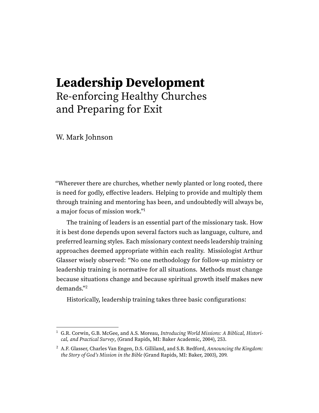## **Leadership Development** Re-enforcing Healthy Churches and Preparing for Exit

W. Mark Johnson

"Wherever there are churches, whether newly planted or long rooted, there is need for godly, effective leaders. Helping to provide and multiply them through training and mentoring has been, and undoubtedly will always be, a major focus of mission work."[1](#page-0-0)

<span id="page-0-2"></span>The training of leaders is an essential part of the missionary task. How it is best done depends upon several factors such as language, culture, and preferred learning styles. Each missionary context needs leadership training approaches deemed appropriate within each reality. Missiologist Arthur Glasser wisely observed: "No one methodology for follow-up ministry or leadership training is normative for all situations. Methods must change because situations change and because spiritual growth itself makes new demands."[2](#page-0-1)

<span id="page-0-3"></span>Historically, leadership training takes three basic configurations:

<span id="page-0-0"></span><sup>&</sup>lt;sup>[1](#page-0-2)</sup> G.R. Corwin, G.B. McGee, and A.S. Moreau, [Introducing World Missions: A Biblical, Histori](https://ref.ly/logosres/intrwrldmissns?ref=Page.p+253&off=798&ctx=Leadership+Training%0a~Wherever+there+are+c)[cal, and Practical Survey](https://ref.ly/logosres/intrwrldmissns?ref=Page.p+253&off=798&ctx=Leadership+Training%0a~Wherever+there+are+c), (Grand Rapids, MI: Baker Academic, 2004), 253.

<span id="page-0-1"></span><sup>&</sup>lt;sup>[2](#page-0-3)</sup> A.F. Glasser, Charles Van Engen, D.S. Gilliland, and S.B. Redford, [Announcing the Kingdom:](https://ref.ly/logosres/8768abc6fafef566f7477b10f0e4ac22?ref=Page.p+209&off=2837&ctx=ound+awareness+that+~no+one+methodology+f) [the Story of God's Mission in the Bible](https://ref.ly/logosres/8768abc6fafef566f7477b10f0e4ac22?ref=Page.p+209&off=2837&ctx=ound+awareness+that+~no+one+methodology+f) (Grand Rapids, MI: Baker, 2003), 209.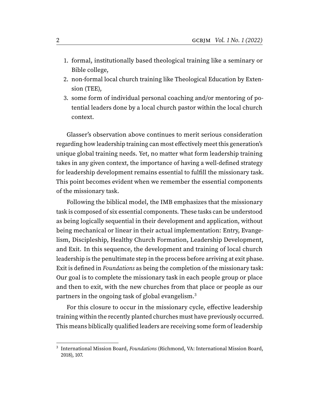- 1. formal, institutionally based theological training like a seminary or Bible college,
- 2. non-formal local church training like Theological Education by Extension (TEE),
- 3. some form of individual personal coaching and/or mentoring of potential leaders done by a local church pastor within the local church context.

Glasser's observation above continues to merit serious consideration regarding how leadership training can most effectively meet this generation's unique global training needs. Yet, no matter what form leadership training takes in any given context, the importance of having a well-defined strategy for leadership development remains essential to fulfill the missionary task. This point becomes evident when we remember the essential components of the missionary task.

Following the biblical model, the IMB emphasizes that the missionary task is composed of six essential components. These tasks can be understood as being logically sequential in their development and application, without being mechanical or linear in their actual implementation: Entry, Evangelism, Discipleship, Healthy Church Formation, Leadership Development, and Exit. In this sequence, the development and training of local church leadership is the penultimate step in the process before arriving at exit phase. Exit is defined in Foundations as being the completion of the missionary task: Our goal is to complete the missionary task in each people group or place and then to exit, with the new churches from that place or people as our partners in the ongoing task of global evangelism.<sup>[3](#page-1-0)</sup>

<span id="page-1-1"></span>For this closure to occur in the missionary cycle, effective leadership training within the recently planted churches must have previously occurred. This means biblically qualified leaders are receiving some form of leadership

<span id="page-1-0"></span><sup>&</sup>lt;sup>[3](#page-1-1)</sup> International Mission Board, Foundations (Richmond, VA: International Mission Board, 2018), 107.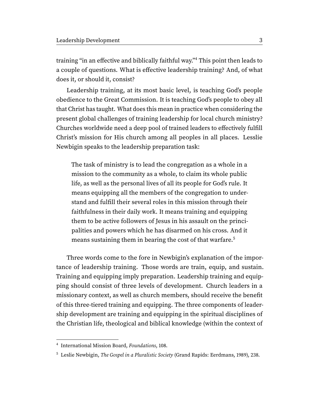<span id="page-2-2"></span>training "in an effective and biblically faithful way."[4](#page-2-0) This point then leads to a couple of questions. What is effective leadership training? And, of what does it, or should it, consist?

Leadership training, at its most basic level, is teaching God's people obedience to the Great Commission. It is teaching God's people to obey all that Christ has taught. What does this mean in practice when considering the present global challenges of training leadership for local church ministry? Churches worldwide need a deep pool of trained leaders to effectively fulfill Christ's mission for His church among all peoples in all places. Lesslie Newbigin speaks to the leadership preparation task:

<span id="page-2-3"></span>The task of ministry is to lead the congregation as a whole in a mission to the community as a whole, to claim its whole public life, as well as the personal lives of all its people for God's rule. It means equipping all the members of the congregation to understand and fulfill their several roles in this mission through their faithfulness in their daily work. It means training and equipping them to be active followers of Jesus in his assault on the principalities and powers which he has disarmed on his cross. And it means sustaining them in bearing the cost of that warfare.[5](#page-2-1)

Three words come to the fore in Newbigin's explanation of the importance of leadership training. Those words are train, equip, and sustain. Training and equipping imply preparation. Leadership training and equipping should consist of three levels of development. Church leaders in a missionary context, as well as church members, should receive the benefit of this three-tiered training and equipping. The three components of leadership development are training and equipping in the spiritual disciplines of the Christian life, theological and biblical knowledge (within the context of

<span id="page-2-0"></span>[<sup>4</sup>](#page-2-2) International Mission Board, Foundations, 108.

<span id="page-2-1"></span><sup>&</sup>lt;sup>[5](#page-2-3)</sup> Leslie Newbigin, The Gospel in a Pluralistic Society (Grand Rapids: Eerdmans, 1989), 238.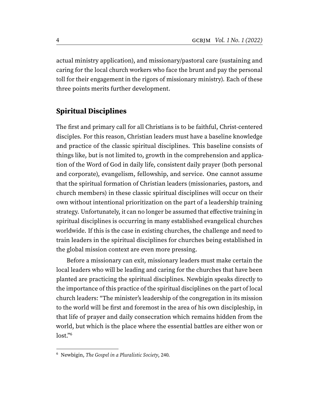actual ministry application), and missionary/pastoral care (sustaining and caring for the local church workers who face the brunt and pay the personal toll for their engagement in the rigors of missionary ministry). Each of these three points merits further development.

## **Spiritual Disciplines**

The first and primary call for all Christians is to be faithful, Christ-centered disciples. For this reason, Christian leaders must have a baseline knowledge and practice of the classic spiritual disciplines. This baseline consists of things like, but is not limited to, growth in the comprehension and application of the Word of God in daily life, consistent daily prayer (both personal and corporate), evangelism, fellowship, and service. One cannot assume that the spiritual formation of Christian leaders (missionaries, pastors, and church members) in these classic spiritual disciplines will occur on their own without intentional prioritization on the part of a leadership training strategy. Unfortunately, it can no longer be assumed that effective training in spiritual disciplines is occurring in many established evangelical churches worldwide. If this is the case in existing churches, the challenge and need to train leaders in the spiritual disciplines for churches being established in the global mission context are even more pressing.

Before a missionary can exit, missionary leaders must make certain the local leaders who will be leading and caring for the churches that have been planted are practicing the spiritual disciplines. Newbigin speaks directly to the importance of this practice of the spiritual disciplines on the part of local church leaders: "The minister's leadership of the congregation in its mission to the world will be first and foremost in the area of his own discipleship, in that life of prayer and daily consecration which remains hidden from the world, but which is the place where the essential battles are either won or lost."[6](#page-3-0)

<span id="page-3-1"></span><span id="page-3-0"></span>[<sup>6</sup>](#page-3-1) Newbigin, The Gospel in a Pluralistic Society, 240.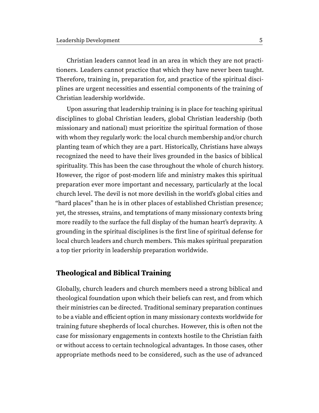Christian leaders cannot lead in an area in which they are not practitioners. Leaders cannot practice that which they have never been taught. Therefore, training in, preparation for, and practice of the spiritual disciplines are urgent necessities and essential components of the training of Christian leadership worldwide.

Upon assuring that leadership training is in place for teaching spiritual disciplines to global Christian leaders, global Christian leadership (both missionary and national) must prioritize the spiritual formation of those with whom they regularly work: the local church membership and/or church planting team of which they are a part. Historically, Christians have always recognized the need to have their lives grounded in the basics of biblical spirituality. This has been the case throughout the whole of church history. However, the rigor of post-modern life and ministry makes this spiritual preparation ever more important and necessary, particularly at the local church level. The devil is not more devilish in the world's global cities and "hard places" than he is in other places of established Christian presence; yet, the stresses, strains, and temptations of many missionary contexts bring more readily to the surface the full display of the human heart's depravity. A grounding in the spiritual disciplines is the first line of spiritual defense for local church leaders and church members. This makes spiritual preparation a top tier priority in leadership preparation worldwide.

## **Theological and Biblical Training**

Globally, church leaders and church members need a strong biblical and theological foundation upon which their beliefs can rest, and from which their ministries can be directed. Traditional seminary preparation continues to be a viable and efficient option in many missionary contexts worldwide for training future shepherds of local churches. However, this is often not the case for missionary engagements in contexts hostile to the Christian faith or without access to certain technological advantages. In those cases, other appropriate methods need to be considered, such as the use of advanced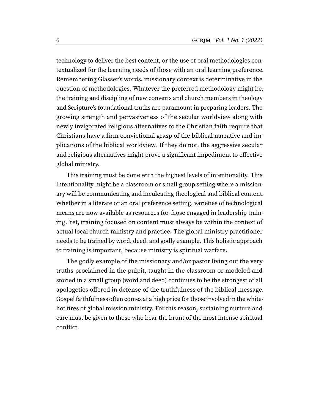technology to deliver the best content, or the use of oral methodologies contextualized for the learning needs of those with an oral learning preference. Remembering Glasser's words, missionary context is determinative in the question of methodologies. Whatever the preferred methodology might be, the training and discipling of new converts and church members in theology and Scripture's foundational truths are paramount in preparing leaders. The growing strength and pervasiveness of the secular worldview along with newly invigorated religious alternatives to the Christian faith require that Christians have a firm convictional grasp of the biblical narrative and implications of the biblical worldview. If they do not, the aggressive secular and religious alternatives might prove a significant impediment to effective global ministry.

This training must be done with the highest levels of intentionality. This intentionality might be a classroom or small group setting where a missionary will be communicating and inculcating theological and biblical content. Whether in a literate or an oral preference setting, varieties of technological means are now available as resources for those engaged in leadership training. Yet, training focused on content must always be within the context of actual local church ministry and practice. The global ministry practitioner needs to be trained by word, deed, and godly example. This holistic approach to training is important, because ministry is spiritual warfare.

The godly example of the missionary and/or pastor living out the very truths proclaimed in the pulpit, taught in the classroom or modeled and storied in a small group (word and deed) continues to be the strongest of all apologetics offered in defense of the truthfulness of the biblical message. Gospel faithfulness often comes at a high price for those involved in the whitehot fires of global mission ministry. For this reason, sustaining nurture and care must be given to those who bear the brunt of the most intense spiritual conflict.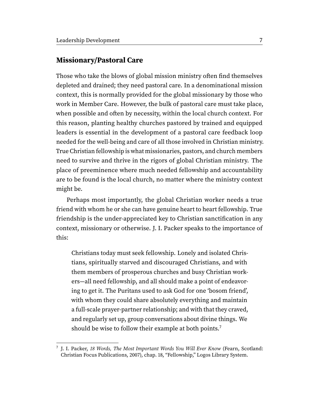## **Missionary/Pastoral Care**

Those who take the blows of global mission ministry often find themselves depleted and drained; they need pastoral care. In a denominational mission context, this is normally provided for the global missionary by those who work in Member Care. However, the bulk of pastoral care must take place, when possible and often by necessity, within the local church context. For this reason, planting healthy churches pastored by trained and equipped leaders is essential in the development of a pastoral care feedback loop needed for the well-being and care of all those involved in Christian ministry. True Christian fellowship is what missionaries, pastors, and church members need to survive and thrive in the rigors of global Christian ministry. The place of preeminence where much needed fellowship and accountability are to be found is the local church, no matter where the ministry context might be.

Perhaps most importantly, the global Christian worker needs a true friend with whom he or she can have genuine heart to heart fellowship. True friendship is the under-appreciated key to Christian sanctification in any context, missionary or otherwise. J. I. Packer speaks to the importance of this:

<span id="page-6-1"></span>Christians today must seek fellowship. Lonely and isolated Christians, spiritually starved and discouraged Christians, and with them members of prosperous churches and busy Christian workers—all need fellowship, and all should make a point of endeavoring to get it. The Puritans used to ask God for one 'bosom friend', with whom they could share absolutely everything and maintain a full-scale prayer-partner relationship; and with that they craved, and regularly set up, group conversations about divine things. We should be wise to follow their example at both points.<sup>[7](#page-6-0)</sup>

<span id="page-6-0"></span><sup>&</sup>lt;sup>[7](#page-6-1)</sup> J. I. Packer, 18 Words, The Most Important Words You Will Ever Know (Fearn, Scotland: Christian Focus Publications, 2007), chap. 18, "Fellowship," Logos Library System.